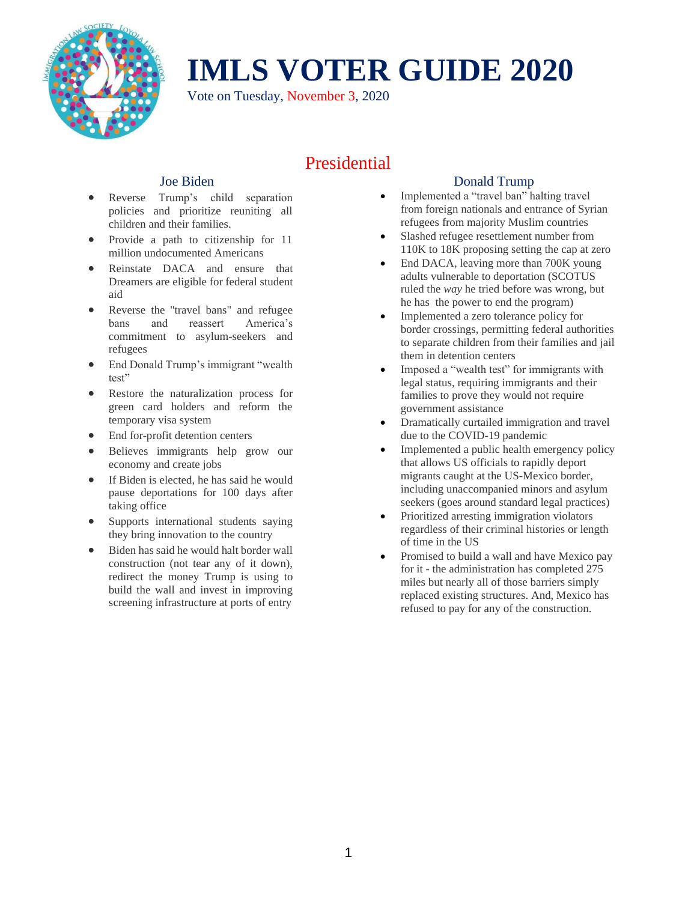

Vote on Tuesday, November 3, 2020

## Presidential

#### [Joe Biden](http://joebiden.com/)

- Reverse Trump's child separation policies and prioritize reuniting all children and their families.
- Provide a path to citizenship for 11 million undocumented Americans
- Reinstate DACA and ensure that Dreamers are eligible for federal student aid
- Reverse the "travel bans" and refugee bans and reassert America's commitment to asylum-seekers and refugees
- End Donald Trump's immigrant "wealth" test"
- Restore the naturalization process for green card holders and reform the temporary visa system
- End for-profit detention centers
- Believes immigrants help grow our economy and create jobs
- If Biden is elected, he has said he would pause deportations for 100 days after taking office
- Supports international students saying they bring innovation to the country
- Biden has said he would halt border wall construction (not tear any of it down), redirect the money Trump is using to build the wall and invest in improving screening infrastructure at ports of entry

### Donald Trump

- Implemented a "travel ban" halting travel from foreign nationals and entrance of Syrian refugees from majority Muslim countries
- Slashed refugee resettlement number from 110K to 18K proposing setting the cap at zero
- End DACA, leaving more than 700K young adults vulnerable to deportation (SCOTUS ruled the *way* he tried before was wrong, but he has the power to end the program)
- Implemented a zero tolerance policy for border crossings, permitting federal authorities to separate children from their families and jail them in detention centers
- Imposed a "wealth test" for immigrants with legal status, requiring immigrants and their families to prove they would not require government assistance
- Dramatically curtailed immigration and travel due to the COVID-19 pandemic
- Implemented a public health emergency policy that allows US officials to rapidly deport migrants caught at the US-Mexico border, including unaccompanied minors and asylum seekers (goes around standard legal practices)
- Prioritized arresting immigration violators regardless of their criminal histories or length of time in the US
- Promised to build a wall and have Mexico pay for it - the administration has completed 275 miles but nearly all of those barriers simply replaced existing structures. And, Mexico has refused to pay for any of the construction.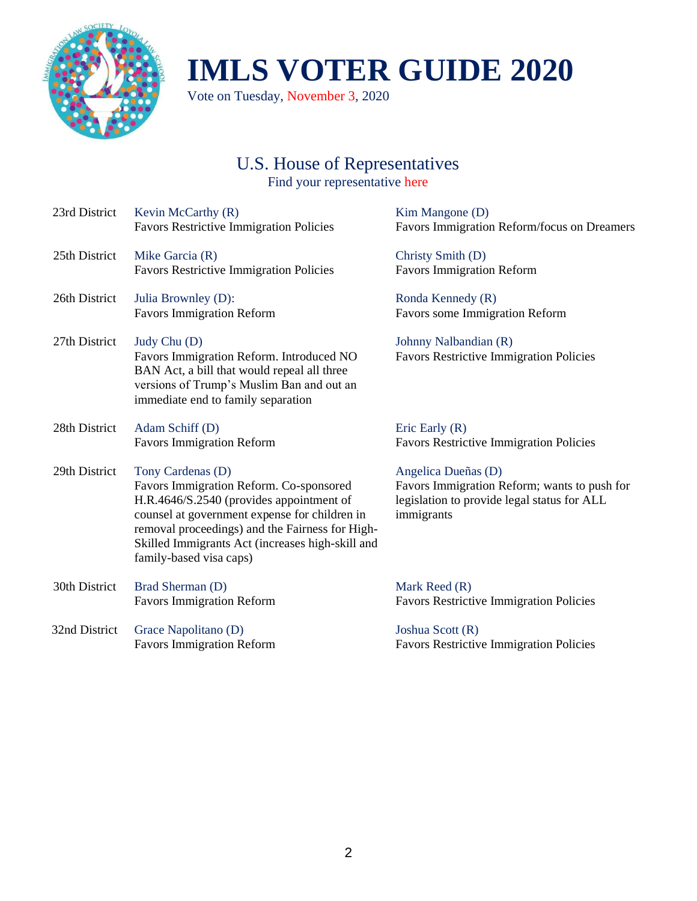

Vote on Tuesday, November 3, 2020

### U.S. House of Representatives Find your representative [here](https://www.house.gov/representatives/find-your-representative)

| 23rd District | Kevin McCarthy (R)<br><b>Favors Restrictive Immigration Policies</b>                                                                                                                                                                                                                        |
|---------------|---------------------------------------------------------------------------------------------------------------------------------------------------------------------------------------------------------------------------------------------------------------------------------------------|
| 25th District | Mike Garcia (R)<br><b>Favors Restrictive Immigration Policies</b>                                                                                                                                                                                                                           |
| 26th District | Julia Brownley (D):<br><b>Favors Immigration Reform</b>                                                                                                                                                                                                                                     |
| 27th District | Judy Chu (D)<br>Favors Immigration Reform. Introduced NO<br>BAN Act, a bill that would repeal all three<br>versions of Trump's Muslim Ban and out an<br>immediate end to family separation                                                                                                  |
| 28th District | Adam Schiff (D)<br><b>Favors Immigration Reform</b>                                                                                                                                                                                                                                         |
| 29th District | Tony Cardenas (D)<br>Favors Immigration Reform. Co-sponsored<br>H.R.4646/S.2540 (provides appointment of<br>counsel at government expense for children in<br>removal proceedings) and the Fairness for High-<br>Skilled Immigrants Act (increases high-skill and<br>family-based visa caps) |
| 30th District | Brad Sherman (D)<br><b>Favors Immigration Reform</b>                                                                                                                                                                                                                                        |
| 32nd District | Grace Napolitano (D)<br><b>Favors Immigration Reform</b>                                                                                                                                                                                                                                    |

[Kim Mangone \(D\)](https://mangoneforcongress.com/issues/) Favors Immigration Reform/focus on Dreamers

[Christy Smith \(D\)](https://www.christyforcongress.org/priorities) Favors Immigration Reform

[Ronda Kennedy \(R\)](https://rondakennedy.com/issues/) Favors some Immigration Reform

[Johnny Nalbandian \(R\)](https://justfacts.votesmart.org/candidate/political-courage-test/179360/johnny-nalbandian) Favors Restrictive Immigration Policies

[Eric Early \(R\)](https://justfacts.votesmart.org/candidate/political-courage-test/179471/eric-early) Favors Restrictive Immigration Policies

[Angelica Dueñas \(D\)](https://www.angelica4congress.com/humane-immigration-reform) Favors Immigration Reform; wants to push for legislation to provide legal status for ALL immigrants

[Mark Reed \(R\)](http://www.markreedforcongress.com/policy/) Favors Restrictive Immigration Policies

[Joshua Scott \(R\)](https://votejoshuascott.org/issues) Favors Restrictive Immigration Policies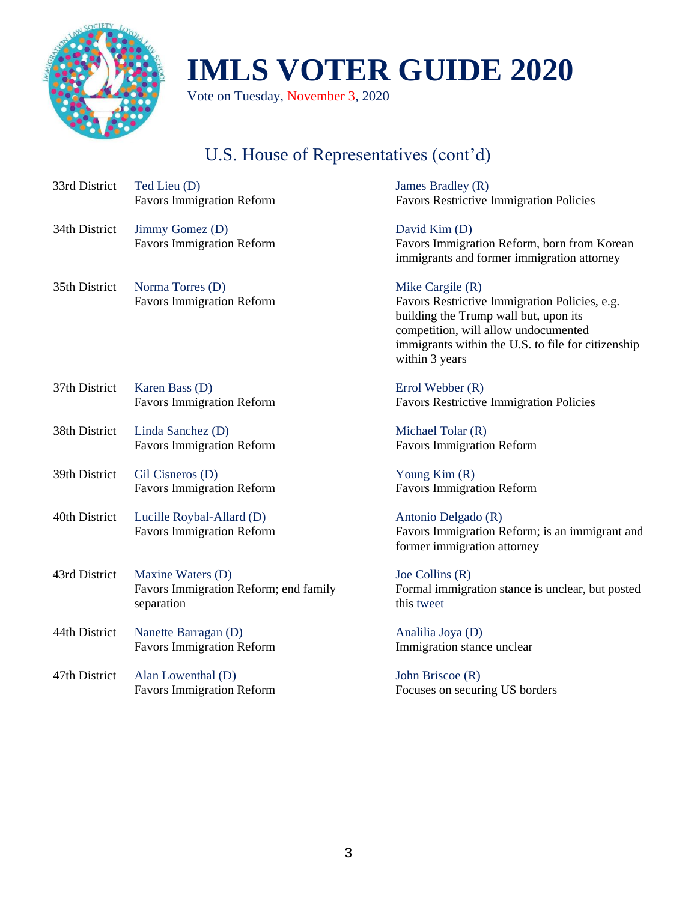

Vote on Tuesday, November 3, 2020

# U.S. House of Representatives (cont'd)

| Ted Lieu (D)                                                  | James Bradley (R)                                                                                                                                                                                                            |
|---------------------------------------------------------------|------------------------------------------------------------------------------------------------------------------------------------------------------------------------------------------------------------------------------|
| <b>Favors Immigration Reform</b>                              | <b>Favors Restrictive Immigration Policies</b>                                                                                                                                                                               |
| Jimmy Gomez (D)<br><b>Favors Immigration Reform</b>           | David Kim (D)<br>Favors Immigration Reform, born from Korean<br>immigrants and former immigration attorney                                                                                                                   |
| Norma Torres (D)<br><b>Favors Immigration Reform</b>          | Mike Cargile $(R)$<br>Favors Restrictive Immigration Policies, e.g.<br>building the Trump wall but, upon its<br>competition, will allow undocumented<br>immigrants within the U.S. to file for citizenship<br>within 3 years |
| Karen Bass (D)                                                | Errol Webber (R)                                                                                                                                                                                                             |
| <b>Favors Immigration Reform</b>                              | <b>Favors Restrictive Immigration Policies</b>                                                                                                                                                                               |
| Linda Sanchez (D)                                             | Michael Tolar (R)                                                                                                                                                                                                            |
| <b>Favors Immigration Reform</b>                              | <b>Favors Immigration Reform</b>                                                                                                                                                                                             |
| Gil Cisneros (D)                                              | Young Kim (R)                                                                                                                                                                                                                |
| <b>Favors Immigration Reform</b>                              | <b>Favors Immigration Reform</b>                                                                                                                                                                                             |
| Lucille Roybal-Allard (D)<br><b>Favors Immigration Reform</b> | Antonio Delgado (R)<br>Favors Immigration Reform; is an immigrant and<br>former immigration attorney                                                                                                                         |
| Maxine Waters (D)                                             | Joe Collins (R)                                                                                                                                                                                                              |
| Favors Immigration Reform; end family                         | Formal immigration stance is unclear, but posted                                                                                                                                                                             |
| separation                                                    | this tweet                                                                                                                                                                                                                   |
| Nanette Barragan (D)                                          | Analilia Joya (D)                                                                                                                                                                                                            |
| <b>Favors Immigration Reform</b>                              | Immigration stance unclear                                                                                                                                                                                                   |
| Alan Lowenthal (D)                                            | John Briscoe (R)                                                                                                                                                                                                             |
| <b>Favors Immigration Reform</b>                              | Focuses on securing US borders                                                                                                                                                                                               |
|                                                               |                                                                                                                                                                                                                              |